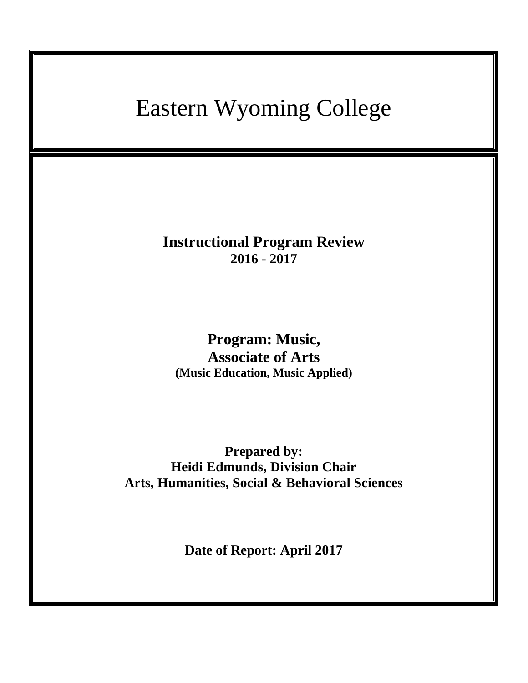# Eastern Wyoming College

**Instructional Program Review 2016 - 2017**

**Program: Music, Associate of Arts (Music Education, Music Applied)**

**Prepared by: Heidi Edmunds, Division Chair Arts, Humanities, Social & Behavioral Sciences**

**Date of Report: April 2017**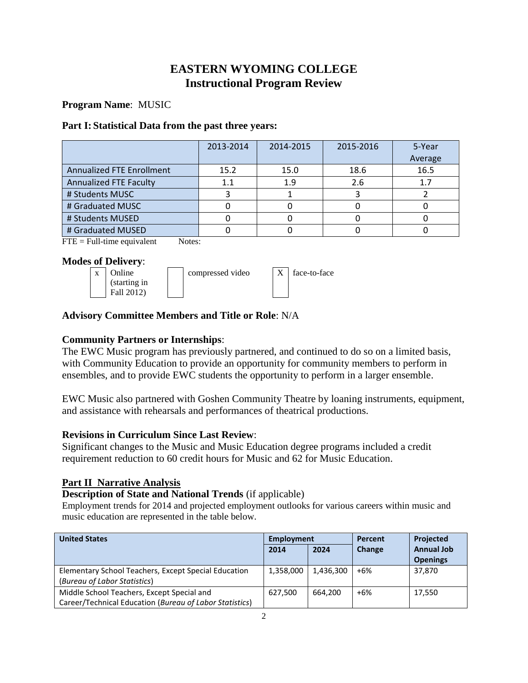## **EASTERN WYOMING COLLEGE Instructional Program Review**

## **Program Name**: MUSIC

## **Part I: Statistical Data from the past three years:**

|                                  | 2013-2014 | 2014-2015 | 2015-2016 | 5-Year<br>Average |
|----------------------------------|-----------|-----------|-----------|-------------------|
| <b>Annualized FTE Enrollment</b> | 15.2      | 15.0      | 18.6      | 16.5              |
| <b>Annualized FTE Faculty</b>    | 1.1       | 1.9       | 2.6       | 1.7               |
| # Students MUSC                  |           |           |           |                   |
| # Graduated MUSC                 |           |           |           |                   |
| # Students MUSED                 |           |           |           |                   |
| # Graduated MUSED                |           |           |           |                   |

 $\text{FTE} = \text{Full-time equivalent}$  Notes:

## **Modes of Delivery**:



| face-to-fac |
|-------------|
|             |

## **Advisory Committee Members and Title or Role**: N/A

## **Community Partners or Internships**:

The EWC Music program has previously partnered, and continued to do so on a limited basis, with Community Education to provide an opportunity for community members to perform in ensembles, and to provide EWC students the opportunity to perform in a larger ensemble.

EWC Music also partnered with Goshen Community Theatre by loaning instruments, equipment, and assistance with rehearsals and performances of theatrical productions.

## **Revisions in Curriculum Since Last Review**:

Significant changes to the Music and Music Education degree programs included a credit requirement reduction to 60 credit hours for Music and 62 for Music Education.

## **Part II Narrative Analysis**

## **Description of State and National Trends** (if applicable)

Employment trends for 2014 and projected employment outlooks for various careers within music and music education are represented in the table below.

| <b>United States</b>                                    | <b>Employment</b> |           | Percent | Projected         |
|---------------------------------------------------------|-------------------|-----------|---------|-------------------|
|                                                         | 2014              | 2024      | Change  | <b>Annual Job</b> |
|                                                         |                   |           |         | <b>Openings</b>   |
| Elementary School Teachers, Except Special Education    | 1,358,000         | 1,436,300 | $+6%$   | 37,870            |
| (Bureau of Labor Statistics)                            |                   |           |         |                   |
| Middle School Teachers, Except Special and              | 627,500           | 664.200   | $+6%$   | 17.550            |
| Career/Technical Education (Bureau of Labor Statistics) |                   |           |         |                   |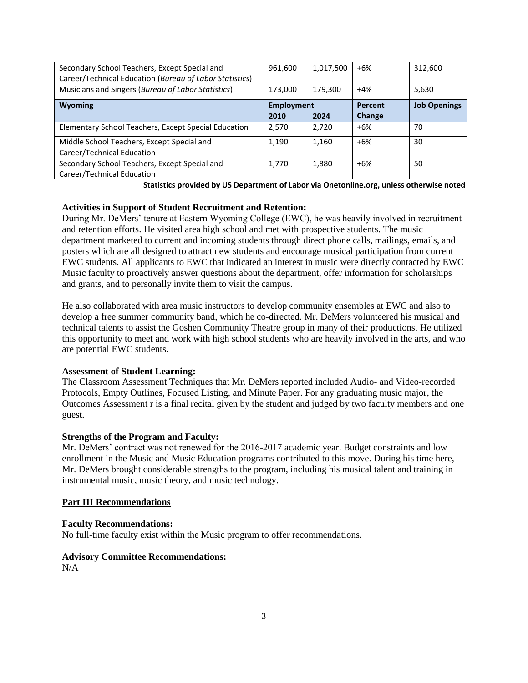| Secondary School Teachers, Except Special and<br>Career/Technical Education (Bureau of Labor Statistics) | 961,600           | 1,017,500 | $+6%$         | 312,600             |
|----------------------------------------------------------------------------------------------------------|-------------------|-----------|---------------|---------------------|
| Musicians and Singers (Bureau of Labor Statistics)                                                       | 173.000           | 179.300   | $+4%$         | 5,630               |
|                                                                                                          |                   |           |               |                     |
| <b>Wyoming</b>                                                                                           | <b>Employment</b> |           | Percent       | <b>Job Openings</b> |
|                                                                                                          | 2010              | 2024      | <b>Change</b> |                     |
| Elementary School Teachers, Except Special Education                                                     | 2,570             | 2,720     | $+6%$         | 70                  |
| Middle School Teachers, Except Special and                                                               | 1,190             | 1,160     | $+6%$         | 30                  |
| Career/Technical Education                                                                               |                   |           |               |                     |
| Secondary School Teachers, Except Special and                                                            | 1,770             | 1,880     | $+6%$         | 50                  |
| Career/Technical Education                                                                               |                   |           |               |                     |

**Statistics provided by US Department of Labor via Onetonline.org, unless otherwise noted**

#### **Activities in Support of Student Recruitment and Retention:**

During Mr. DeMers' tenure at Eastern Wyoming College (EWC), he was heavily involved in recruitment and retention efforts. He visited area high school and met with prospective students. The music department marketed to current and incoming students through direct phone calls, mailings, emails, and posters which are all designed to attract new students and encourage musical participation from current EWC students. All applicants to EWC that indicated an interest in music were directly contacted by EWC Music faculty to proactively answer questions about the department, offer information for scholarships and grants, and to personally invite them to visit the campus.

He also collaborated with area music instructors to develop community ensembles at EWC and also to develop a free summer community band, which he co-directed. Mr. DeMers volunteered his musical and technical talents to assist the Goshen Community Theatre group in many of their productions. He utilized this opportunity to meet and work with high school students who are heavily involved in the arts, and who are potential EWC students.

### **Assessment of Student Learning:**

The Classroom Assessment Techniques that Mr. DeMers reported included Audio- and Video-recorded Protocols, Empty Outlines, Focused Listing, and Minute Paper. For any graduating music major, the Outcomes Assessment r is a final recital given by the student and judged by two faculty members and one guest.

### **Strengths of the Program and Faculty:**

Mr. DeMers' contract was not renewed for the 2016-2017 academic year. Budget constraints and low enrollment in the Music and Music Education programs contributed to this move. During his time here, Mr. DeMers brought considerable strengths to the program, including his musical talent and training in instrumental music, music theory, and music technology.

### **Part III Recommendations**

#### **Faculty Recommendations:**

No full-time faculty exist within the Music program to offer recommendations.

### **Advisory Committee Recommendations:**

 $N/A$